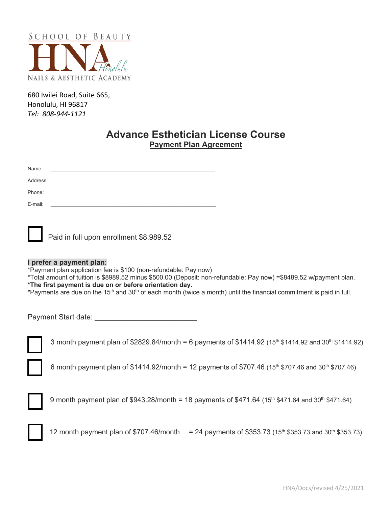

680 Iwilei Road, Suite 665, Honolulu, HI 96817 *Tel: 808-944-1121*

# **Advance Esthetician License Course Payment Plan Agreement**

| Name:    |                                                                                                                      |  |
|----------|----------------------------------------------------------------------------------------------------------------------|--|
| Address: |                                                                                                                      |  |
| Phone:   | <u> 1989 - John Stein, markin amerikan bestein bestein der stadt av den stadt av den stadt av den stadt av den s</u> |  |
| E-mail:  |                                                                                                                      |  |



Paid in full upon enrollment \$8,989.52

#### **I prefer a payment plan**:

\*Payment plan application fee is \$100 (non-refundable: Pay now)

\*Total amount of tuition is \$8989.52 minus \$500.00 (Deposit: non-refundable: Pay now) =\$8489.52 w/payment plan. **\*The first payment is due on or before orientation day.**

\*Payments are due on the 15<sup>th</sup> and 30<sup>th</sup> of each month (twice a month) until the financial commitment is paid in full.

Payment Start date:

3 month payment plan of \$2829.84/month = 6 payments of \$1414.92 (15<sup>th</sup> \$1414.92 and 30<sup>th</sup> \$1414.92)

6 month payment plan of \$1414.92/month = 12 payments of \$707.46 (15<sup>th</sup> \$707.46 and 30<sup>th</sup> \$707.46)



9 month payment plan of \$943.28/month = 18 payments of \$471.64 (15<sup>th</sup> \$471.64 and 30<sup>th</sup> \$471.64)



12 month payment plan of  $$707.46/m$ onth = 24 payments of  $$353.73$  (15<sup>th</sup> \$353.73 and 30<sup>th</sup> \$353.73)